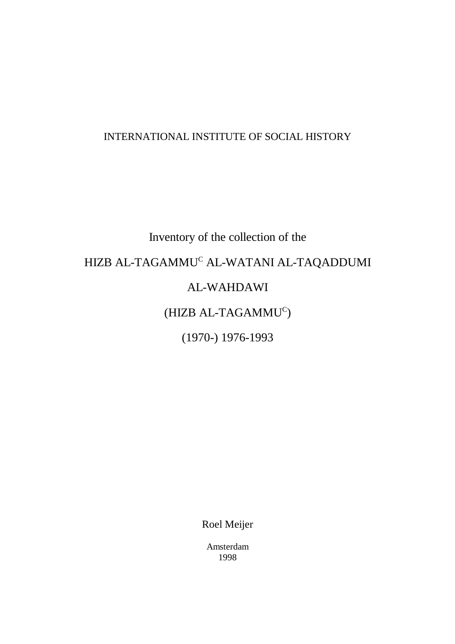## INTERNATIONAL INSTITUTE OF SOCIAL HISTORY

# Inventory of the collection of the HIZB AL-TAGAMMU<sup>C</sup> AL-WATANI AL-TAQADDUMI AL-WAHDAWI  $(HIZB AL-TAGAMMU<sup>C</sup>)$ (1970-) 1976-1993

Roel Meijer

Amsterdam 1998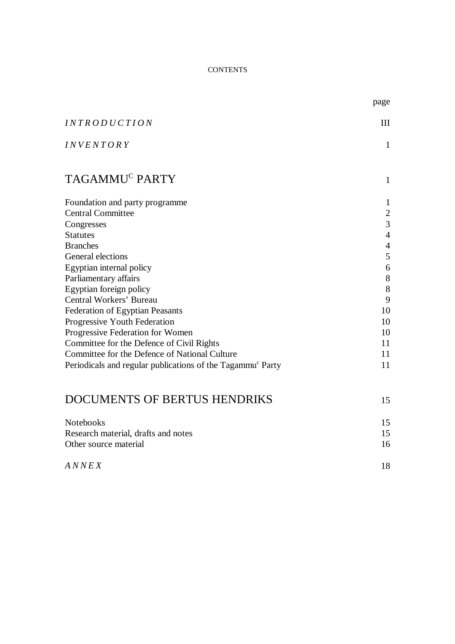#### **CONTENTS**

|                                                                        | page                     |  |  |
|------------------------------------------------------------------------|--------------------------|--|--|
| <i><b>INTRODUCTION</b></i>                                             | III                      |  |  |
| <b>INVENTORY</b>                                                       | $\mathbf{1}$             |  |  |
| TAGAMMU <sup>C</sup> PARTY                                             | $\mathbf{1}$             |  |  |
| Foundation and party programme                                         | $\mathbf{1}$             |  |  |
| <b>Central Committee</b>                                               | $\overline{c}$           |  |  |
| Congresses                                                             | $\overline{3}$           |  |  |
| <b>Statutes</b>                                                        | $\overline{4}$           |  |  |
| <b>Branches</b>                                                        | $\overline{\mathcal{A}}$ |  |  |
| General elections                                                      | $\mathfrak s$            |  |  |
| Egyptian internal policy                                               | 6                        |  |  |
| Parliamentary affairs                                                  | $8\,$                    |  |  |
| Egyptian foreign policy                                                | $8\,$                    |  |  |
| Central Workers' Bureau                                                | 9                        |  |  |
| <b>Federation of Egyptian Peasants</b>                                 | 10                       |  |  |
| Progressive Youth Federation                                           | 10                       |  |  |
| Progressive Federation for Women                                       | 10                       |  |  |
| Committee for the Defence of Civil Rights                              | 11                       |  |  |
| Committee for the Defence of National Culture                          | 11                       |  |  |
| Periodicals and regular publications of the Tagammu <sup>c</sup> Party | 11                       |  |  |
| <b>DOCUMENTS OF BERTUS HENDRIKS</b>                                    | 15                       |  |  |
| Notebooks                                                              | 15                       |  |  |
| Research material, drafts and notes                                    |                          |  |  |
| Other source material                                                  | 16                       |  |  |
| ANNEX                                                                  | 18                       |  |  |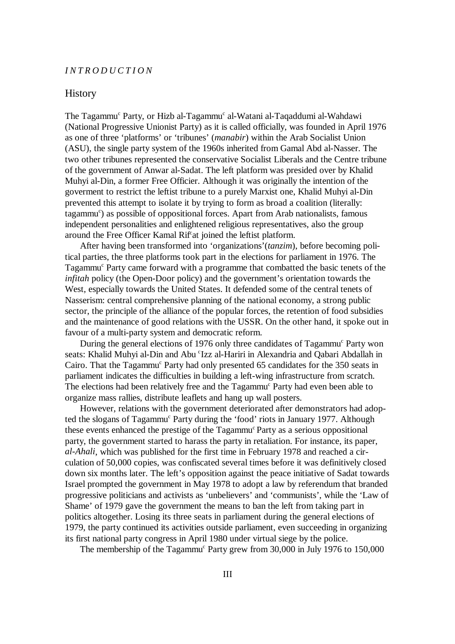#### *INTRODUCTION*

#### **History**

The Tagammu<sup>c</sup> Party, or Hizb al-Tagammu<sup>c</sup> al-Watani al-Taqaddumi al-Wahdawi (National Progressive Unionist Party) as it is called officially, was founded in April 1976 as one of three 'platforms' or 'tribunes' (*manabir*) within the Arab Socialist Union (ASU), the single party system of the 1960s inherited from Gamal Abd al-Nasser. The two other tribunes represented the conservative Socialist Liberals and the Centre tribune of the government of Anwar al-Sadat. The left platform was presided over by Khalid Muhyi al-Din, a former Free Officier. Although it was originally the intention of the goverment to restrict the leftist tribune to a purely Marxist one, Khalid Muhyi al-Din prevented this attempt to isolate it by trying to form as broad a coalition (literally: tagammu<sup>c</sup>) as possible of oppositional forces. Apart from Arab nationalists, famous independent personalities and enlightened religious representatives, also the group around the Free Officer Kamal Rif<sup>at</sup> joined the leftist platform.

After having been transformed into 'organizations'(*tanzim*), before becoming political parties, the three platforms took part in the elections for parliament in 1976. The Tagammu<sup>c</sup> Party came forward with a programme that combatted the basic tenets of the *infitah* policy (the Open-Door policy) and the government's orientation towards the West, especially towards the United States. It defended some of the central tenets of Nasserism: central comprehensive planning of the national economy, a strong public sector, the principle of the alliance of the popular forces, the retention of food subsidies and the maintenance of good relations with the USSR. On the other hand, it spoke out in favour of a multi-party system and democratic reform.

During the general elections of 1976 only three candidates of Tagammu<sup>c</sup> Party won seats: Khalid Muhyi al-Din and Abu 'Izz al-Hariri in Alexandria and Qabari Abdallah in Cairo. That the Tagammu<sup>c</sup> Party had only presented 65 candidates for the 350 seats in parliament indicates the difficulties in building a left-wing infrastructure from scratch. The elections had been relatively free and the Tagammu<sup>c</sup> Party had even been able to organize mass rallies, distribute leaflets and hang up wall posters.

However, relations with the government deteriorated after demonstrators had adopted the slogans of Tagammu<sup>c</sup> Party during the 'food' riots in January 1977. Although these events enhanced the prestige of the Tagammu<sup>c</sup> Party as a serious oppositional party, the government started to harass the party in retaliation. For instance, its paper, *al-Ahali*, which was published for the first time in February 1978 and reached a circulation of 50,000 copies, was confiscated several times before it was definitively closed down six months later. The left's opposition against the peace initiative of Sadat towards Israel prompted the government in May 1978 to adopt a law by referendum that branded progressive politicians and activists as 'unbelievers' and 'communists', while the 'Law of Shame' of 1979 gave the government the means to ban the left from taking part in politics altogether. Losing its three seats in parliament during the general elections of 1979, the party continued its activities outside parliament, even succeeding in organizing its first national party congress in April 1980 under virtual siege by the police.

The membership of the Tagammu<sup>c</sup> Party grew from  $30,000$  in July 1976 to 150,000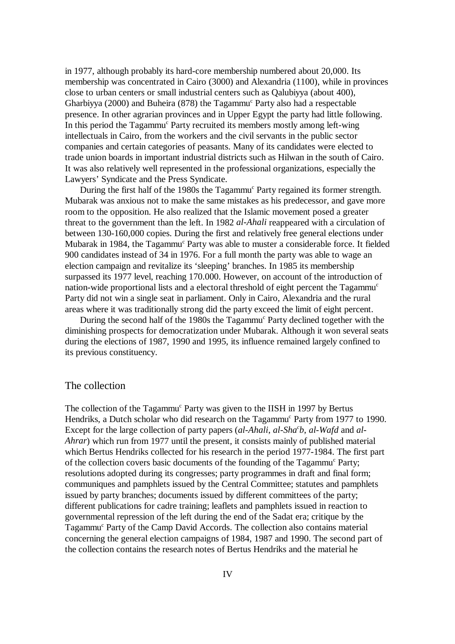in 1977, although probably its hard-core membership numbered about 20,000. Its membership was concentrated in Cairo (3000) and Alexandria (1100), while in provinces close to urban centers or small industrial centers such as Qalubiyya (about 400), Gharbiyya (2000) and Buheira (878) the Tagammu<sup>c</sup> Party also had a respectable presence. In other agrarian provinces and in Upper Egypt the party had little following. In this period the Tagammu<sup>c</sup> Party recruited its members mostly among left-wing intellectuals in Cairo, from the workers and the civil servants in the public sector companies and certain categories of peasants. Many of its candidates were elected to trade union boards in important industrial districts such as Hilwan in the south of Cairo. It was also relatively well represented in the professional organizations, especially the Lawyers' Syndicate and the Press Syndicate.

During the first half of the 1980s the Tagammu<sup>c</sup> Party regained its former strength. Mubarak was anxious not to make the same mistakes as his predecessor, and gave more room to the opposition. He also realized that the Islamic movement posed a greater threat to the government than the left. In 1982 *al-Ahali* reappeared with a circulation of between 130-160,000 copies. During the first and relatively free general elections under Mubarak in 1984, the Tagammu<sup>c</sup> Party was able to muster a considerable force. It fielded 900 candidates instead of 34 in 1976. For a full month the party was able to wage an election campaign and revitalize its 'sleeping' branches. In 1985 its membership surpassed its 1977 level, reaching 170.000. However, on account of the introduction of nation-wide proportional lists and a electoral threshold of eight percent the Tagammu<sup>c</sup> Party did not win a single seat in parliament. Only in Cairo, Alexandria and the rural areas where it was traditionally strong did the party exceed the limit of eight percent.

During the second half of the 1980s the Tagammu<sup>c</sup> Party declined together with the diminishing prospects for democratization under Mubarak. Although it won several seats during the elections of 1987, 1990 and 1995, its influence remained largely confined to its previous constituency.

#### The collection

The collection of the Tagammu<sup>c</sup> Party was given to the IISH in 1997 by Bertus Hendriks, a Dutch scholar who did research on the Tagammu<sup>c</sup> Party from 1977 to 1990. Except for the large collection of party papers (*al-Ahali*, *al-Sha<sup>c</sup>b*, *al-Wafd* and *al-Ahrar*) which run from 1977 until the present, it consists mainly of published material which Bertus Hendriks collected for his research in the period 1977-1984. The first part of the collection covers basic documents of the founding of the Tagammu<sup>c</sup> Party; resolutions adopted during its congresses; party programmes in draft and final form; communiques and pamphlets issued by the Central Committee; statutes and pamphlets issued by party branches; documents issued by different committees of the party; different publications for cadre training; leaflets and pamphlets issued in reaction to governmental repression of the left during the end of the Sadat era; critique by the Tagammu<sup> $c$ </sup> Party of the Camp David Accords. The collection also contains material concerning the general election campaigns of 1984, 1987 and 1990. The second part of the collection contains the research notes of Bertus Hendriks and the material he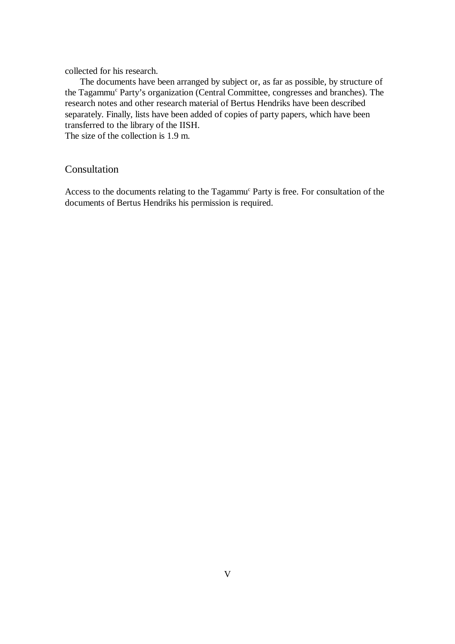collected for his research.

The documents have been arranged by subject or, as far as possible, by structure of the Tagammu<sup>c</sup> Party's organization (Central Committee, congresses and branches). The research notes and other research material of Bertus Hendriks have been described separately. Finally, lists have been added of copies of party papers, which have been transferred to the library of the IISH.

The size of the collection is 1.9 m.

#### Consultation

Access to the documents relating to the Tagammu<sup>c</sup> Party is free. For consultation of the documents of Bertus Hendriks his permission is required.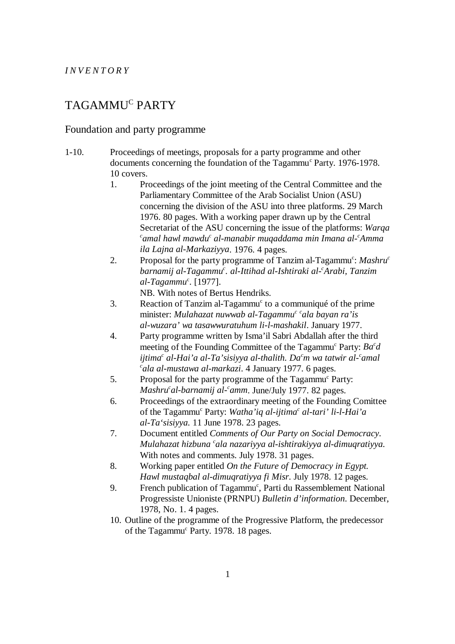#### *INVENTORY*

# TAGAMMU<sup>C</sup> PARTY

#### Foundation and party programme

- 1-10. Proceedings of meetings, proposals for a party programme and other documents concerning the foundation of the Tagammu<sup>c</sup> Party. 1976-1978. 10 covers.
	- 1. Proceedings of the joint meeting of the Central Committee and the Parliamentary Committee of the Arab Socialist Union (ASU) concerning the division of the ASU into three platforms. 29 March 1976. 80 pages. With a working paper drawn up by the Central Secretariat of the ASU concerning the issue of the platforms: *Warqa* <sup>*c*</sup>amal hawl mawdu<sup>c</sup> al-manabir muqaddama min Imana al-<sup>c</sup>Amma *ila Lajna al-Markaziyya*. 1976. 4 pages.
	- 2. Proposal for the party programme of Tanzim al-Tagammu<sup>c</sup>: *Mashru<sup>c</sup> barnamij al-Tagammu . al-Ittihad al-Ishtiraki al- Arabi, Tanzim c c al-Tagammu<sup>c</sup>*. [1977].

NB. With notes of Bertus Hendriks.

- 3. Reaction of Tanzim al-Tagammu<sup>c</sup> to a communiqué of the prime minister: *Mulahazat nuwwab al-Tagammu<sup>c c</sup>ala bayan ra'is al-wuzara' wa tasawwuratuhum li-l-mashakil*. January 1977.
- 4. Party programme written by Isma'il Sabri Abdallah after the third meeting of the Founding Committee of the Tagammu<sup>c</sup> Party:  $Ba^c d$ *ijtima<sup>c</sup> al-Hai'a al-Ta'sisiyya al-thalith. Da<sup>c</sup>m wa tatwir al-<sup>c</sup>amal ala al-mustawa al-markazi*. 4 January 1977. 6 pages. *<sup>c</sup>*
- 5. Proposal for the party programme of the Tagammu<sup>c</sup> Party: *Mashru<sup>c</sup>al-barnamij al-<sup>c</sup>amm.* June/July 1977. 82 pages.
- 6. Proceedings of the extraordinary meeting of the Founding Comittee of the Tagammu<sup>c</sup> Party: *Watha'iq al-ijtima<sup>c</sup> al-tari' li-l-Hai'a al-Ta'sisiyya.* 11 June 1978. 23 pages.
- 7. Document entitled *Comments of Our Party on Social Democracy*. *Mulahazat hizbuna* <sup>c</sup>ala nazariyya al-ishtirakiyya al-dimuqratiyya. With notes and comments. July 1978. 31 pages.
- 8. Working paper entitled *On the Future of Democracy in Egypt*. *Hawl mustaqbal al-dimuqratiyya fi Misr*. July 1978. 12 pages.
- 9. French publication of Tagammu<sup>c</sup>, Parti du Rassemblement National Progressiste Unioniste (PRNPU) *Bulletin d'information*. December, 1978, No. 1. 4 pages.
- 10. Outline of the programme of the Progressive Platform, the predecessor of the Tagammu<sup>c</sup> Party. 1978. 18 pages.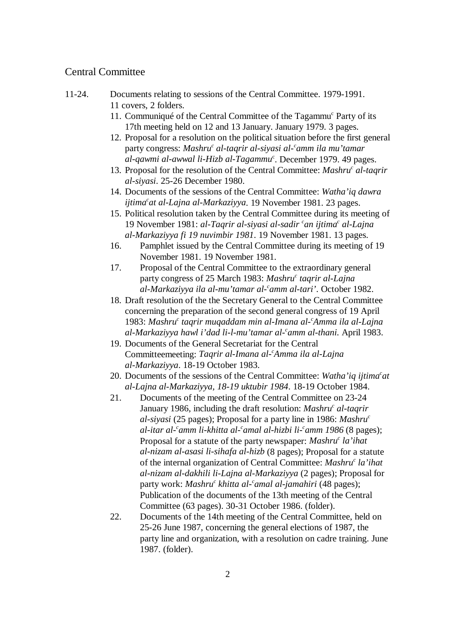#### Central Committee

- 11-24. Documents relating to sessions of the Central Committee. 1979-1991. 11 covers, 2 folders.
	- 11. Communiqué of the Central Committee of the Tagammu<sup> $c$ </sup> Party of its 17th meeting held on 12 and 13 January. January 1979. 3 pages.
	- 12. Proposal for a resolution on the political situation before the first general party congress: *Mashru<sup>c</sup>* al-taqrir al-siyasi al-<sup>c</sup>amm ila mu'tamar *al-qawmi al-awwal li-Hizb al-Tagammu<sup>c</sup>*. December 1979. 49 pages.
	- 13. Proposal for the resolution of the Central Committee: *Mashru<sup>c</sup> al-taqrir al-siyasi*. 25-26 December 1980.
	- 14. Documents of the sessions of the Central Committee: *Watha'iq dawra* ijtima<sup>c</sup>at al-Lajna al-Markaziyya. 19 November 1981. 23 pages.
	- 15. Political resolution taken by the Central Committee during its meeting of 19 November 1981: *al-Taqrir al-siyasi al-sadir <sup>c</sup>an ijtima<sup>c</sup> al-Lajna al-Markaziyya fi 19 nuvimbir 1981*. 19 November 1981. 13 pages.
	- 16. Pamphlet issued by the Central Committee during its meeting of 19 November 1981. 19 November 1981.
	- 17. Proposal of the Central Committee to the extraordinary general party congress of 25 March 1983: *Mashru<sup>c</sup> taqrir al-Lajna al-Markaziyya ila al-mu'tamar al- amm al-tari'*. October 1982. *<sup>c</sup>*
	- 18. Draft resolution of the the Secretary General to the Central Committee concerning the preparation of the second general congress of 19 April 1983: Mashru<sup>c</sup> taqrir muqaddam min al-Imana al-'Amma ila al-Lajna *al-Markaziyya hawl i'dad li-l-mu'tamar al- amm al-thani.* April 1983. *<sup>c</sup>*
	- 19. Documents of the General Secretariat for the Central Committeemeeting: *Taqrir al-Imana al- Amma ila al-Lajna <sup>c</sup> al-Markaziyya*. 18-19 October 1983.
	- 20. Documents of the sessions of the Central Committee: *Watha'iq ijtima<sup>c</sup>at al-Lajna al-Markaziyya, 18-19 uktubir 1984*. 18-19 October 1984.
	- 21. Documents of the meeting of the Central Committee on 23-24 January 1986, including the draft resolution: *Mashru<sup>c</sup> al-taqrir al-siyasi* (25 pages); Proposal for a party line in 1986: *Mashruc al-itar al- amm li-khitta al- amal al-hizbi li- amm 1986* (8 pages); *c cc* Proposal for a statute of the party newspaper: *Mashru<sup>c</sup>* la'*ihat al-nizam al-asasi li-sihafa al-hizb* (8 pages); Proposal for a statute of the internal organization of Central Committee: *Mashru<sup>c</sup> la'ihat al-nizam al-dakhili li-Lajna al-Markaziyya* (2 pages); Proposal for party work: *Mashru<sup>c</sup> khitta al-'amal al-jamahiri* (48 pages); Publication of the documents of the 13th meeting of the Central Committee (63 pages). 30-31 October 1986. (folder).
	- 22. Documents of the 14th meeting of the Central Committee, held on 25-26 June 1987, concerning the general elections of 1987, the party line and organization, with a resolution on cadre training. June 1987. (folder).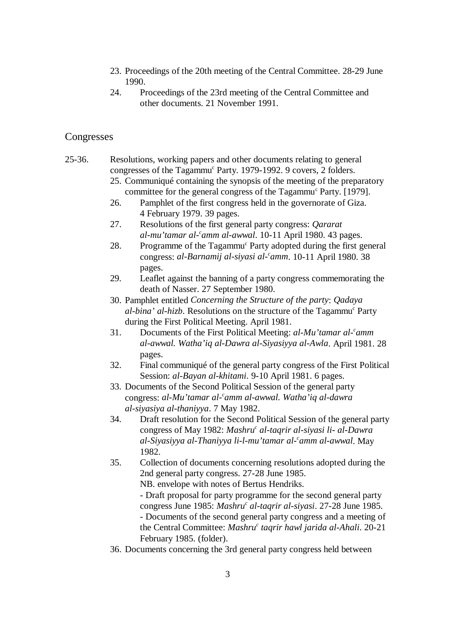- 23. Proceedings of the 20th meeting of the Central Committee. 28-29 June 1990.
- 24. Proceedings of the 23rd meeting of the Central Committee and other documents. 21 November 1991.

#### Congresses

- 25-36. Resolutions, working papers and other documents relating to general congresses of the Tagammu<sup>c</sup> Party. 1979-1992. 9 covers, 2 folders.
	- 25. Communiqué containing the synopsis of the meeting of the preparatory committee for the general congress of the Tagammu<sup>c</sup> Party. [1979].
	- 26. Pamphlet of the first congress held in the governorate of Giza. 4 February 1979. 39 pages.
	- 27. Resolutions of the first general party congress: *Qararat al-mu'tamar al- amm al-awwal*. 10-11 April 1980. 43 pages. *<sup>c</sup>*
	- 28. Programme of the Tagammu<sup>c</sup> Party adopted during the first general congress: *al-Barnamij al-siyasi al- amm*. 10-11 April 1980. 38 *<sup>c</sup>* pages.
	- 29. Leaflet against the banning of a party congress commemorating the death of Nasser. 27 September 1980.
	- 30. Pamphlet entitled *Concerning the Structure of the party*: *Qadaya al-bina' al-hizb*. Resolutions on the structure of the Tagammu<sup>c</sup> Party during the First Political Meeting. April 1981.
	- 31. Documents of the First Political Meeting: *al-Mu'tamar al- amm <sup>c</sup> al-awwal. Watha'iq al-Dawra al-Siyasiyya al-Awla*. April 1981. 28 pages.
	- 32. Final communiqué of the general party congress of the First Political Session: *al-Bayan al-khitami*. 9-10 April 1981. 6 pages.
	- 33. Documents of the Second Political Session of the general party congress: *al-Mu'tamar al- amm al-awwal. Watha'iq al-dawra <sup>c</sup> al-siyasiya al-thaniyya*. 7 May 1982.
	- 34. Draft resolution for the Second Political Session of the general party congress of May 1982: *Mashru<sup>c</sup>* al-taqrir al-siyasi li- al-Dawra *al-Siyasiyya al-Thaniyya li-l-mu'tamar al- amm al-awwal*. May *<sup>c</sup>* 1982.
	- 35. Collection of documents concerning resolutions adopted during the 2nd general party congress. 27-28 June 1985.

NB. envelope with notes of Bertus Hendriks.

- Draft proposal for party programme for the second general party congress June 1985: *Mashru<sup>c</sup>* al-taqrir al-siyasi. 27-28 June 1985. - Documents of the second general party congress and a meeting of the Central Committee: *Mashru<sup>c</sup>* taqrir hawl jarida al-Ahali. 20-21 February 1985. (folder).

36. Documents concerning the 3rd general party congress held between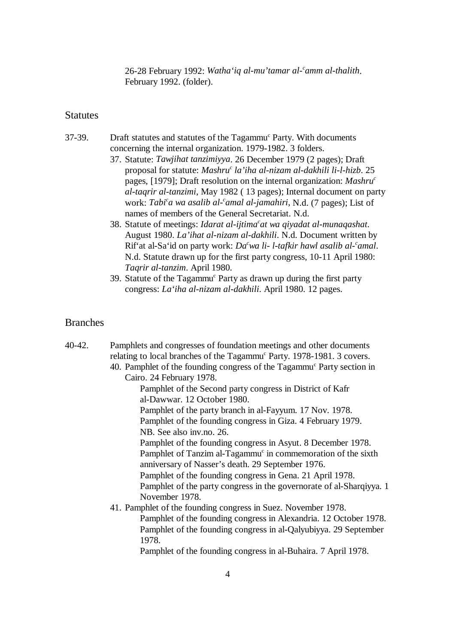26-28 February 1992: *Watha'iq al-mu'tamar al-'amm al-thalith*. February 1992. (folder).

#### **Statutes**

- 37-39. Draft statutes and statutes of the Tagammu<sup>c</sup> Party. With documents concerning the internal organization. 1979-1982. 3 folders.
	- 37. Statute: *Tawjihat tanzimiyya*. 26 December 1979 (2 pages); Draft proposal for statute: *Mashru<sup>c</sup>* la'iha al-nizam al-dakhili li-l-hizb. 25 pages, [1979]; Draft resolution on the internal organization: *Mashruc al-taqrir al-tanzimi*, May 1982 ( 13 pages); Internal document on party work: *Tabi'a wa asalib al-'amal al-jamahiri*, N.d. (7 pages); List of names of members of the General Secretariat. N.d.
	- 38. Statute of meetings: *Idarat al-ijtima<sup>c</sup>at wa qiyadat al-munaqashat*. August 1980. *La'ihat al-nizam al-dakhili*. N.d. Document written by Rif'at al-Sa'id on party work: *Da<sup>c</sup>wa li- l-tafkir hawl asalib al-<sup>c</sup>amal.* N.d. Statute drawn up for the first party congress, 10-11 April 1980: *Taqrir al-tanzim*. April 1980.
	- 39. Statute of the Tagammu<sup>c</sup> Party as drawn up during the first party congress: *La'iha al-nizam al-dakhili*. April 1980. 12 pages.

#### Branches

| 40-42. | Pamphlets and congresses of foundation meetings and other documents                |
|--------|------------------------------------------------------------------------------------|
|        | relating to local branches of the Tagammu <sup>c</sup> Party. 1978-1981. 3 covers. |
|        | 40. Pamphlet of the founding congress of the Tagammu <sup>c</sup> Party section in |
|        | Cairo. 24 February 1978.                                                           |
|        | Pamphlet of the Second party congress in District of Kafr                          |
|        | al-Dawwar. 12 October 1980.                                                        |
|        | Pamphlet of the party branch in al-Fayyum. 17 Nov. 1978.                           |
|        | Pamphlet of the founding congress in Giza. 4 February 1979.                        |
|        | NB. See also inv.no. 26.                                                           |
|        | Pamphlet of the founding congress in Asyut. 8 December 1978.                       |
|        | Pamphlet of Tanzim al-Tagammu <sup>c</sup> in commemoration of the sixth           |
|        | anniversary of Nasser's death. 29 September 1976.                                  |
|        | Pamphlet of the founding congress in Gena. 21 April 1978.                          |
|        | Pamphlet of the party congress in the governorate of al-Sharqiyya. 1               |
|        | November 1978.                                                                     |
|        | 41. Pamphlet of the founding congress in Suez. November 1978.                      |
|        | Pamphlet of the founding congress in Alexandria. 12 October 1978.                  |
|        | Pamphlet of the founding congress in al-Qalyubiyya. 29 September                   |
|        | 1978.                                                                              |
|        | Pamphlet of the founding congress in al-Buhaira. 7 April 1978.                     |
|        |                                                                                    |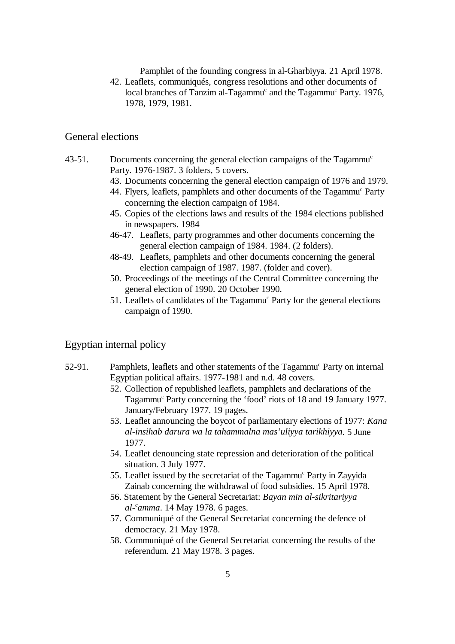Pamphlet of the founding congress in al-Gharbiyya. 21 April 1978.

42. Leaflets, communiqués, congress resolutions and other documents of local branches of Tanzim al-Tagammu<sup>c</sup> and the Tagammu<sup>c</sup> Party. 1976, 1978, 1979, 1981.

#### General elections

- 43-51. Documents concerning the general election campaigns of the Tagammu<sup>c</sup> Party. 1976-1987. 3 folders, 5 covers.
	- 43. Documents concerning the general election campaign of 1976 and 1979.
	- 44. Flyers, leaflets, pamphlets and other documents of the Tagammu<sup>c</sup> Party concerning the election campaign of 1984.
	- 45. Copies of the elections laws and results of the 1984 elections published in newspapers. 1984
	- 46-47. Leaflets, party programmes and other documents concerning the general election campaign of 1984. 1984. (2 folders).
	- 48-49. Leaflets, pamphlets and other documents concerning the general election campaign of 1987. 1987. (folder and cover).
	- 50. Proceedings of the meetings of the Central Committee concerning the general election of 1990. 20 October 1990.
	- 51. Leaflets of candidates of the Tagammu<sup>c</sup> Party for the general elections campaign of 1990.

#### Egyptian internal policy

- 52-91. Pamphlets, leaflets and other statements of the Tagammu<sup>c</sup> Party on internal Egyptian political affairs. 1977-1981 and n.d. 48 covers.
	- 52. Collection of republished leaflets, pamphlets and declarations of the Tagammu<sup>c</sup> Party concerning the 'food' riots of 18 and 19 January 1977. January/February 1977. 19 pages.
	- 53. Leaflet announcing the boycot of parliamentary elections of 1977: *Kana al-insihab darura wa la tahammalna mas'uliyya tarikhiyya*. 5 June 1977.
	- 54. Leaflet denouncing state repression and deterioration of the political situation. 3 July 1977.
	- 55. Leaflet issued by the secretariat of the Tagammu<sup>c</sup> Party in Zayyida Zainab concerning the withdrawal of food subsidies. 15 April 1978.
	- 56. Statement by the General Secretariat: *Bayan min al-sikritariyya al- amma*. 14 May 1978. 6 pages. *<sup>c</sup>*
	- 57. Communiqué of the General Secretariat concerning the defence of democracy. 21 May 1978.
	- 58. Communiqué of the General Secretariat concerning the results of the referendum. 21 May 1978. 3 pages.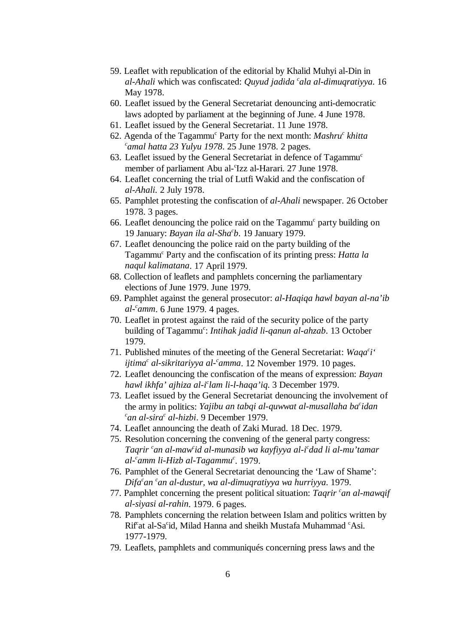- 59. Leaflet with republication of the editorial by Khalid Muhyi al-Din in *al-Ahali* which was confiscated: *Quyud jadida 'ala al-dimuqratiyya*. 16 May 1978.
- 60. Leaflet issued by the General Secretariat denouncing anti-democratic laws adopted by parliament at the beginning of June. 4 June 1978.
- 61. Leaflet issued by the General Secretariat. 11 June 1978.
- 62. Agenda of the Tagammu<sup>c</sup> Party for the next month: *Mashru<sup>c</sup> khitta*  $c$ <sub>amal</sub> hatta 23 Yulyu 1978. 25 June 1978. 2 pages.
- 63. Leaflet issued by the General Secretariat in defence of Tagammu<sup>c</sup> member of parliament Abu al-'Izz al-Harari. 27 June 1978.
- 64. Leaflet concerning the trial of Lutfi Wakid and the confiscation of *al-Ahali.* 2 July 1978.
- 65. Pamphlet protesting the confiscation of *al-Ahali* newspaper. 26 October 1978. 3 pages.
- 66. Leaflet denouncing the police raid on the  $Tagamma<sup>c</sup>$  party building on 19 January: *Bayan ila al-Sha b*. 19 January 1979. *<sup>c</sup>*
- 67. Leaflet denouncing the police raid on the party building of the Tagammu<sup>c</sup> Party and the confiscation of its printing press: *Hatta la naqul kalimatana*. 17 April 1979.
- 68. Collection of leaflets and pamphlets concerning the parliamentary elections of June 1979. June 1979.
- 69. Pamphlet against the general prosecutor: *al-Haqiqa hawl bayan al-na'ib al- amm*. 6 June 1979. 4 pages. *<sup>c</sup>*
- 70. Leaflet in protest against the raid of the security police of the party building of Tagammu<sup>c</sup>: *Intihak jadid li-qanun al-ahzab*. 13 October 1979.
- 71. Published minutes of the meeting of the General Secretariat: *Waqa i' <sup>c</sup> ijtima<sup>c</sup> al-sikritariyya al-'amma*. 12 November 1979. 10 pages.
- 72. Leaflet denouncing the confiscation of the means of expression: *Bayan hawl ikhfa' ajhiza al-i lam li-l-haqa'iq*. 3 December 1979. *<sup>c</sup>*
- 73. Leaflet issued by the General Secretariat denouncing the involvement of the army in politics: *Yajibu an tabqi al-quwwat al-musallaha ba idan <sup>c</sup>*  $c$ an al-sira<sup>c</sup> al-hizbi. 9 December 1979.
- 74. Leaflet announcing the death of Zaki Murad. 18 Dec. 1979.
- 75. Resolution concerning the convening of the general party congress: *Tagrir* <sup>c</sup>an al-maw<sup>*id al-munasib wa kayfiyya al-i*<sup>c</sup>dad li al-mu'tamar</sup> *al-* camm li-Hizb al-Tagammu<sup>c</sup>. 1979.
- 76. Pamphlet of the General Secretariat denouncing the 'Law of Shame': *Difa<sup>c</sup>an <sup>c</sup>an al-dustur, wa al-dimuqratiyya wa hurriyya.* 1979.
- 77. Pamphlet concerning the present political situation: *Taqrir* <sup>c</sup>an al-mawqif *al-siyasi al-rahin*. 1979. 6 pages.
- 78. Pamphlets concerning the relation between Islam and politics written by  $Rif<sup>c</sup>at$  al-Sa<sup>c</sup>id, Milad Hanna and sheikh Mustafa Muhammad <sup>c</sup> Asi. 1977-1979.
- 79. Leaflets, pamphlets and communiqués concerning press laws and the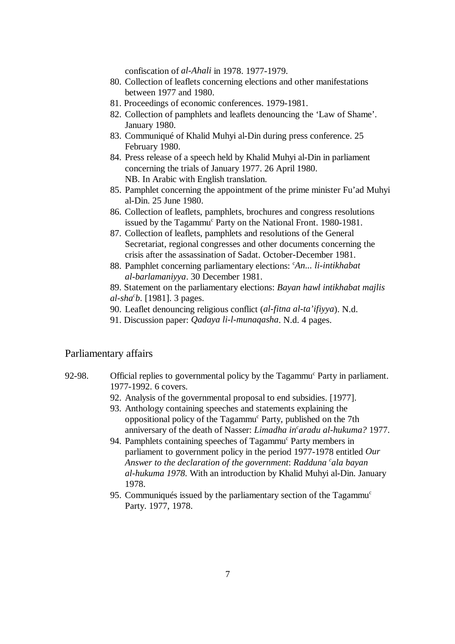confiscation of *al-Ahali* in 1978. 1977-1979.

- 80. Collection of leaflets concerning elections and other manifestations between 1977 and 1980.
- 81. Proceedings of economic conferences. 1979-1981.
- 82. Collection of pamphlets and leaflets denouncing the 'Law of Shame'. January 1980.
- 83. Communiqué of Khalid Muhyi al-Din during press conference. 25 February 1980.
- 84. Press release of a speech held by Khalid Muhyi al-Din in parliament concerning the trials of January 1977. 26 April 1980. NB. In Arabic with English translation.
- 85. Pamphlet concerning the appointment of the prime minister Fu'ad Muhyi al-Din. 25 June 1980.
- 86. Collection of leaflets, pamphlets, brochures and congress resolutions issued by the Tagammu<sup>c</sup> Party on the National Front. 1980-1981.
- 87. Collection of leaflets, pamphlets and resolutions of the General Secretariat, regional congresses and other documents concerning the crisis after the assassination of Sadat. October-December 1981.
- 88. Pamphlet concerning parliamentary elections: *An... li-intikhabat* <sup>c</sup> *al-barlamaniyya*. 30 December 1981.
- 89. Statement on the parliamentary elections: *Bayan hawl intikhabat majlis al-sha b*. [1981]. 3 pages. *<sup>c</sup>*
- 90. Leaflet denouncing religious conflict (*al-fitna al-ta'ifiyya*). N.d.
- 91. Discussion paper: *Qadaya li-l-munaqasha*. N.d. 4 pages.

#### Parliamentary affairs

- 92-98. Official replies to governmental policy by the Tagammu<sup>c</sup> Party in parliament. 1977-1992. 6 covers.
	- 92. Analysis of the governmental proposal to end subsidies. [1977].
	- 93. Anthology containing speeches and statements explaining the oppositional policy of the Tagammu<sup>c</sup> Party, published on the 7th anniversary of the death of Nasser: *Limadha in<sup>c</sup>aradu al-hukuma?* 1977.
	- 94. Pamphlets containing speeches of Tagammu<sup>c</sup> Party members in parliament to government policy in the period 1977-1978 entitled *Our Answer to the declaration of the government: Radduna 'ala bayan al-hukuma 1978*. With an introduction by Khalid Muhyi al-Din. January 1978.
	- 95. Communiqués issued by the parliamentary section of the Tagammu<sup>c</sup> Party. 1977, 1978.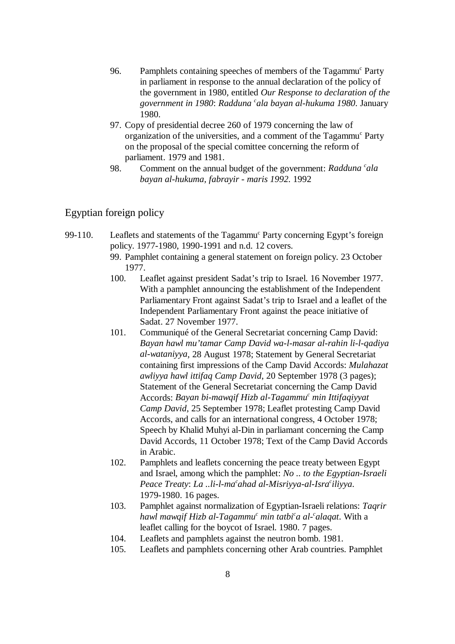- 96. Pamphlets containing speeches of members of the Tagammu<sup>c</sup> Party in parliament in response to the annual declaration of the policy of the government in 1980, entitled *Our Response to declaration of the government in 1980*: *Radduna ala bayan al-hukuma 1980*. January *<sup>c</sup>* 1980.
- 97. Copy of presidential decree 260 of 1979 concerning the law of organization of the universities, and a comment of the Tagammu<sup>c</sup> Party on the proposal of the special comittee concerning the reform of parliament. 1979 and 1981.
- 98. Comment on the annual budget of the government: *Radduna cala bayan al-hukuma, fabrayir - maris 1992*. 1992

#### Egyptian foreign policy

- 99-110. Leaflets and statements of the Tagammu<sup>c</sup> Party concerning Egypt's foreign policy. 1977-1980, 1990-1991 and n.d. 12 covers.
	- 99. Pamphlet containing a general statement on foreign policy. 23 October 1977.
	- 100. Leaflet against president Sadat's trip to Israel. 16 November 1977. With a pamphlet announcing the establishment of the Independent Parliamentary Front against Sadat's trip to Israel and a leaflet of the Independent Parliamentary Front against the peace initiative of Sadat. 27 November 1977.
	- 101. Communiqué of the General Secretariat concerning Camp David: *Bayan hawl mu'tamar Camp David wa-l-masar al-rahin li-l-qadiya al-wataniyya*, 28 August 1978; Statement by General Secretariat containing first impressions of the Camp David Accords: *Mulahazat awliyya hawl ittifaq Camp David*, 20 September 1978 (3 pages); Statement of the General Secretariat concerning the Camp David Accords: *Bayan bi-mawqif Hizb al-Tagammu<sup>c</sup> min Ittifaqiyyat Camp David*, 25 September 1978; Leaflet protesting Camp David Accords, and calls for an international congress, 4 October 1978; Speech by Khalid Muhyi al-Din in parliamant concerning the Camp David Accords, 11 October 1978; Text of the Camp David Accords in Arabic.
	- 102. Pamphlets and leaflets concerning the peace treaty between Egypt and Israel, among which the pamphlet: *No .. to the Egyptian-Israeli Peace Treaty: La ..li-l-ma*<sup>c</sup>ahad al-Misriyya-al-Isra<sup>c</sup>iliyya. 1979-1980. 16 pages.
	- 103. Pamphlet against normalization of Egyptian-Israeli relations: *Taqrir hawl mawqif Hizb al-Tagammu<sup>c</sup> min tatbi<sup>c</sup>a al-<sup>c</sup>alagat. With a* leaflet calling for the boycot of Israel. 1980. 7 pages.
	- 104. Leaflets and pamphlets against the neutron bomb. 1981.
	- 105. Leaflets and pamphlets concerning other Arab countries. Pamphlet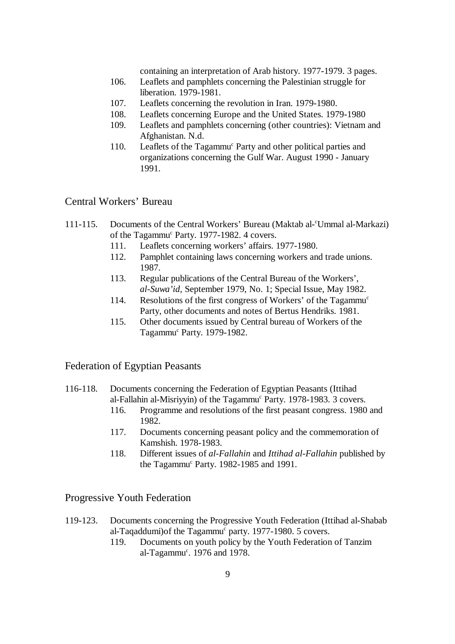containing an interpretation of Arab history. 1977-1979. 3 pages.

- 106. Leaflets and pamphlets concerning the Palestinian struggle for liberation. 1979-1981.
- 107. Leaflets concerning the revolution in Iran. 1979-1980.
- 108. Leaflets concerning Europe and the United States. 1979-1980
- 109. Leaflets and pamphlets concerning (other countries): Vietnam and Afghanistan. N.d.
- 110. Leaflets of the Tagammu<sup>c</sup> Party and other political parties and organizations concerning the Gulf War. August 1990 - January 1991.

#### Central Workers' Bureau

- 111-115. Documents of the Central Workers' Bureau (Maktab al- Ummal al-Markazi) <sup>c</sup> of the Tagammu<sup>c</sup> Party. 1977-1982. 4 covers.
	- 111. Leaflets concerning workers' affairs. 1977-1980.
	- 112. Pamphlet containing laws concerning workers and trade unions. 1987.
	- 113. Regular publications of the Central Bureau of the Workers', *al-Suwa'id,* September 1979, No. 1; Special Issue, May 1982.
	- 114. Resolutions of the first congress of Workers' of the Tagammu<sup>c</sup> Party, other documents and notes of Bertus Hendriks. 1981.
	- 115. Other documents issued by Central bureau of Workers of the Tagammu<sup>c</sup> Party. 1979-1982.

#### Federation of Egyptian Peasants

#### 116-118. Documents concerning the Federation of Egyptian Peasants (Ittihad al-Fallahin al-Misriyyin) of the Tagammu<sup>c</sup> Party. 1978-1983. 3 covers.

- 116. Programme and resolutions of the first peasant congress. 1980 and 1982.
- 117. Documents concerning peasant policy and the commemoration of Kamshish. 1978-1983.
- 118. Different issues of *al-Fallahin* and *Ittihad al-Fallahin* published by the Tagammu<sup>c</sup> Party. 1982-1985 and 1991.

#### Progressive Youth Federation

- 119-123. Documents concerning the Progressive Youth Federation (Ittihad al-Shabab al-Taqaddumi)of the Tagammu<sup>c</sup> party. 1977-1980. 5 covers.
	- 119. Documents on youth policy by the Youth Federation of Tanzim al-Tagammu<sup>c</sup>. 1976 and 1978.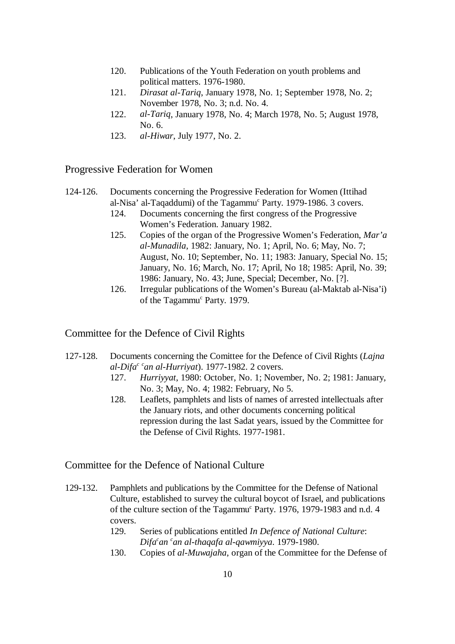- 120. Publications of the Youth Federation on youth problems and political matters. 1976-1980.
- 121. *Dirasat al-Tariq*, January 1978, No. 1; September 1978, No. 2; November 1978, No. 3; n.d. No. 4.
- 122. *al-Tariq*, January 1978, No. 4; March 1978, No. 5; August 1978, No. 6.
- 123. *al-Hiwar*, July 1977, No. 2.

#### Progressive Federation for Women

- 124-126. Documents concerning the Progressive Federation for Women (Ittihad al-Nisa' al-Taqaddumi) of the Tagammu<sup>c</sup> Party. 1979-1986. 3 covers.
	- 124. Documents concerning the first congress of the Progressive Women's Federation. January 1982.
	- 125. Copies of the organ of the Progressive Women's Federation, *Mar'a al-Munadila*, 1982: January, No. 1; April, No. 6; May, No. 7; August, No. 10; September, No. 11; 1983: January, Special No. 15; January, No. 16; March, No. 17; April, No 18; 1985: April, No. 39; 1986: January, No. 43; June, Special; December, No. [?].
	- 126. Irregular publications of the Women's Bureau (al-Maktab al-Nisa'i) of the Tagammu<sup>c</sup> Party. 1979.

#### Committee for the Defence of Civil Rights

- 127-128. Documents concerning the Comittee for the Defence of Civil Rights (*Lajna*  $al-Difa<sup>c</sup>$  *can al-Hurrivat*). 1977-1982. 2 covers.
	- 127. *Hurriyyat*, 1980: October, No. 1; November, No. 2; 1981: January, No. 3; May, No. 4; 1982: February, No 5.
	- 128. Leaflets, pamphlets and lists of names of arrested intellectuals after the January riots, and other documents concerning political repression during the last Sadat years, issued by the Committee for the Defense of Civil Rights. 1977-1981.

#### Committee for the Defence of National Culture

- 129-132. Pamphlets and publications by the Committee for the Defense of National Culture, established to survey the cultural boycot of Israel, and publications of the culture section of the Tagammu<sup>c</sup> Party. 1976, 1979-1983 and n.d. 4 covers.
	- 129. Series of publications entitled *In Defence of National Culture*: *Difa an an al-thaqafa al-qawmiyya*. 1979-1980. *c c*
	- 130. Copies of *al-Muwajaha*, organ of the Committee for the Defense of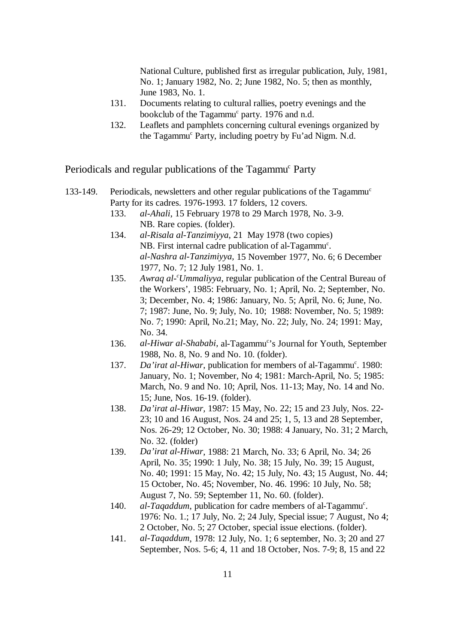National Culture, published first as irregular publication, July, 1981, No. 1; January 1982, No. 2; June 1982, No. 5; then as monthly, June 1983, No. 1.

- 131. Documents relating to cultural rallies, poetry evenings and the bookclub of the Tagammu<sup>c</sup> party. 1976 and n.d.
- 132. Leaflets and pamphlets concerning cultural evenings organized by the Tagammu<sup>c</sup> Party, including poetry by Fu'ad Nigm. N.d.

Periodicals and regular publications of the Tagammu<sup>c</sup> Party

- 133-149. Periodicals, newsletters and other regular publications of the Tagammu<sup>c</sup> Party for its cadres. 1976-1993. 17 folders, 12 covers.
	- 133. *al-Ahali*, 15 February 1978 to 29 March 1978, No. 3-9. NB. Rare copies. (folder).
	- 134. *al-Risala al-Tanzimiyya*, 21 May 1978 (two copies) NB. First internal cadre publication of al-Tagammu<sup>c</sup>. *al-Nashra al-Tanzimiyya,* 15 November 1977, No. 6; 6 December 1977, No. 7; 12 July 1981, No. 1.
	- 135. Awraq al-<sup>c</sup>Ummaliyya, regular publication of the Central Bureau of the Workers', 1985: February, No. 1; April, No. 2; September, No. 3; December, No. 4; 1986: January, No. 5; April, No. 6; June, No. 7; 1987: June, No. 9; July, No. 10; 1988: November, No. 5; 1989: No. 7; 1990: April, No.21; May, No. 22; July, No. 24; 1991: May, No. 34.
	- 136. *al-Hiwar al-Shababi*, al-Tagammu<sup>c</sup>'s Journal for Youth, September 1988, No. 8, No. 9 and No. 10. (folder).
	- 137. *Da'irat al-Hiwar*, publication for members of al-Tagammu<sup>c</sup>. 1980: January, No. 1; November, No 4; 1981: March-April, No. 5; 1985: March, No. 9 and No. 10; April, Nos. 11-13; May, No. 14 and No. 15; June, Nos. 16-19. (folder).
	- 138. *Da'irat al-Hiwar,* 1987: 15 May, No. 22; 15 and 23 July, Nos. 22- 23; 10 and 16 August, Nos. 24 and 25; 1, 5, 13 and 28 September, Nos. 26-29; 12 October, No. 30; 1988: 4 January, No. 31; 2 March, No. 32. (folder)
	- 139. *Da'irat al-Hiwar*, 1988: 21 March, No. 33; 6 April, No. 34; 26 April, No. 35; 1990: 1 July, No. 38; 15 July, No. 39; 15 August, No. 40; 1991: 15 May, No. 42; 15 July, No. 43; 15 August, No. 44; 15 October, No. 45; November, No. 46. 1996: 10 July, No. 58; August 7, No. 59; September 11, No. 60. (folder).
	- 140. *al-Taqaddum*, publication for cadre members of al-Tagammu<sup>c</sup>. 1976: No. 1.; 17 July, No. 2; 24 July, Special issue; 7 August, No 4; 2 October, No. 5; 27 October, special issue elections. (folder).
	- 141. *al-Taqaddum*, 1978: 12 July, No. 1; 6 september, No. 3; 20 and 27 September, Nos. 5-6; 4, 11 and 18 October, Nos. 7-9; 8, 15 and 22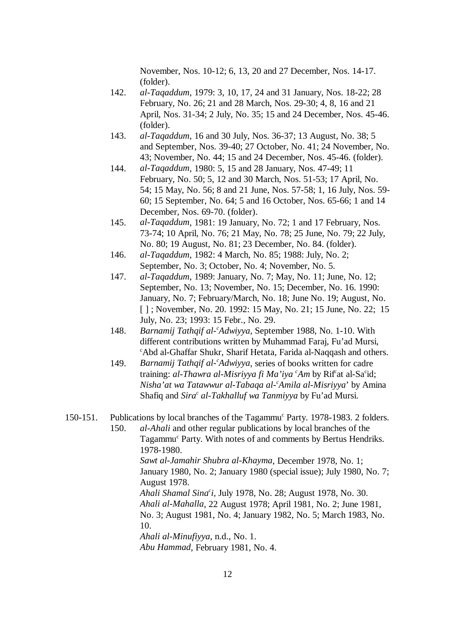November, Nos. 10-12; 6, 13, 20 and 27 December, Nos. 14-17. (folder).

- 142. *al-Taqaddum*, 1979: 3, 10, 17, 24 and 31 January, Nos. 18-22; 28 February, No. 26; 21 and 28 March, Nos. 29-30; 4, 8, 16 and 21 April, Nos. 31-34; 2 July, No. 35; 15 and 24 December, Nos. 45-46. (folder).
- 143. *al-Taqaddum*, 16 and 30 July, Nos. 36-37; 13 August, No. 38; 5 and September, Nos. 39-40; 27 October, No. 41; 24 November, No. 43; November, No. 44; 15 and 24 December, Nos. 45-46. (folder).
- 144. *al-Taqaddum*, 1980: 5, 15 and 28 January, Nos. 47-49; 11 February, No. 50; 5, 12 and 30 March, Nos. 51-53; 17 April, No. 54; 15 May, No. 56; 8 and 21 June, Nos. 57-58; 1, 16 July, Nos. 59- 60; 15 September, No. 64; 5 and 16 October, Nos. 65-66; 1 and 14 December, Nos. 69-70. (folder).
- 145. *al-Taqaddum*, 1981: 19 January, No. 72; 1 and 17 February, Nos. 73-74; 10 April, No. 76; 21 May, No. 78; 25 June, No. 79; 22 July, No. 80; 19 August, No. 81; 23 December, No. 84. (folder).
- 146. *al-Taqaddum*, 1982: 4 March, No. 85; 1988: July, No. 2; September, No. 3; October, No. 4; November, No. 5.
- 147. *al-Taqaddum*, 1989: January, No. 7; May, No. 11; June, No. 12; September, No. 13; November, No. 15; December, No. 16. 1990: January, No. 7; February/March, No. 18; June No. 19; August, No. [ ] ; November, No. 20. 1992: 15 May, No. 21; 15 June, No. 22; 15 July, No. 23; 1993: 15 Febr., No. 29.
- 148. *Barnamij Tathqif al- Adwiyya*, September 1988, No. 1-10. With *<sup>c</sup>* different contributions written by Muhammad Faraj, Fu'ad Mursi, <sup>c</sup>Abd al-Ghaffar Shukr, Sharif Hetata, Farida al-Naqqash and others.
- 149. *Barnamij Tathqif al-<sup>c</sup>Adwiyya*, series of books written for cadre training: *al-Thawra al-Misriyya fi Ma'iya <sup>c</sup>Am* by Rif<sup>e</sup>at al-Sa<sup>c</sup>id; *Nisha'at wa Tatawwur al-Tabaqa al- Amila al-Misriyya*' by Amina *<sup>c</sup>* Shafiq and *Sira<sup>c</sup> al-Takhalluf wa Tanmiyya* by Fu'ad Mursi.
- 150-151. Publications by local branches of the Tagammu<sup>c</sup> Party. 1978-1983. 2 folders.

150. *al-Ahali* and other regular publications by local branches of the Tagammu<sup>c</sup> Party. With notes of and comments by Bertus Hendriks. 1978-1980. *Sawt al-Jamahir Shubra al-Khayma*, December 1978, No. 1; January 1980, No. 2; January 1980 (special issue); July 1980, No. 7; August 1978.

*Ahali Shamal Sina i,* July 1978, No. 28; August 1978, No. 30. *<sup>c</sup> Ahali al-Mahalla*, 22 August 1978; April 1981, No. 2; June 1981, No. 3; August 1981, No. 4; January 1982, No. 5; March 1983, No. 10.

*Ahali al-Minufiyya*, n.d., No. 1.

*Abu Hammad*, February 1981, No. 4.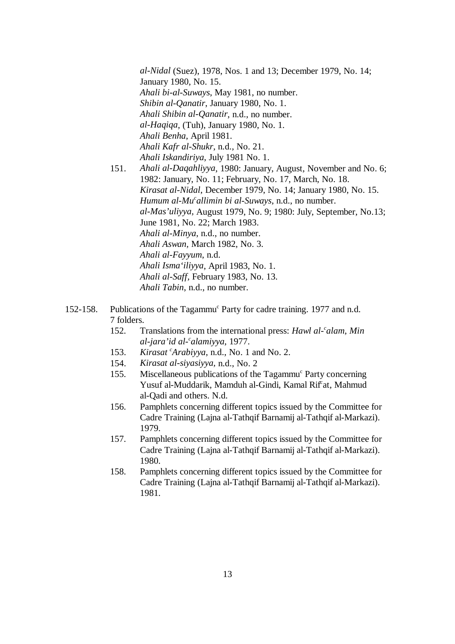*al-Nidal* (Suez), 1978, Nos. 1 and 13; December 1979, No. 14; January 1980, No. 15. *Ahali bi-al-Suways*, May 1981, no number. *Shibin al-Qanatir*, January 1980, No. 1. *Ahali Shibin al-Qanatir*, n.d., no number. *al-Haqiqa*, (Tuh), January 1980, No. 1. *Ahali Benha*, April 1981. *Ahali Kafr al-Shukr*, n.d., No. 21. *Ahali Iskandiriya*, July 1981 No. 1.

- 151. *Ahali al-Daqahliyya*, 1980: January, August, November and No. 6; 1982: January, No. 11; February, No. 17, March, No. 18. *Kirasat al-Nidal*, December 1979, No. 14; January 1980, No. 15. *Humum al-Mu<sup>c</sup>allimin bi al-Suways*, n.d., no number. *al-Mas'uliyya,* August 1979, No. 9; 1980: July, September, No.13; June 1981, No. 22; March 1983. *Ahali al-Minya*, n.d., no number. *Ahali Aswan,* March 1982, No. 3. *Ahali al-Fayyum*, n.d. *Ahali Isma'iliyya*, April 1983, No. 1. *Ahali al-Saff,* February 1983, No. 13. *Ahali Tabin*, n.d., no number.
- 152-158. Publications of the Tagammu<sup>c</sup> Party for cadre training. 1977 and n.d. 7 folders.
	- 152. Translations from the international press: *Hawl al- alam*, *Min <sup>c</sup> al-jara'id al- alamiyya*, 1977. *<sup>c</sup>*
	- 153. *Kirasat Arabiyya*, n.d., No. 1 and No. 2. *<sup>c</sup>*
	- 154. *Kirasat al-siyasiyya,* n.d., No. 2
	- 155. Miscellaneous publications of the Tagammu<sup>c</sup> Party concerning Yusuf al-Muddarik, Mamduh al-Gindi, Kamal Rif<sup>c</sup>at, Mahmud al-Qadi and others. N.d.
	- 156. Pamphlets concerning different topics issued by the Committee for Cadre Training (Lajna al-Tathqif Barnamij al-Tathqif al-Markazi). 1979.
	- 157. Pamphlets concerning different topics issued by the Committee for Cadre Training (Lajna al-Tathqif Barnamij al-Tathqif al-Markazi). 1980.
	- 158. Pamphlets concerning different topics issued by the Committee for Cadre Training (Lajna al-Tathqif Barnamij al-Tathqif al-Markazi). 1981.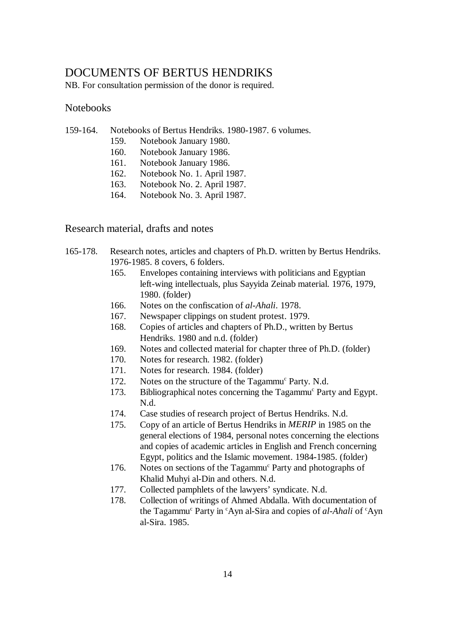### DOCUMENTS OF BERTUS HENDRIKS

NB. For consultation permission of the donor is required.

#### **Notebooks**

- 159-164. Notebooks of Bertus Hendriks. 1980-1987. 6 volumes.
	- 159. Notebook January 1980.
	- 160. Notebook January 1986.
	- 161. Notebook January 1986.
	- 162. Notebook No. 1. April 1987.
	- 163. Notebook No. 2. April 1987.
	- 164. Notebook No. 3. April 1987.

Research material, drafts and notes

- 165-178. Research notes, articles and chapters of Ph.D. written by Bertus Hendriks. 1976-1985. 8 covers, 6 folders.
	- 165. Envelopes containing interviews with politicians and Egyptian left-wing intellectuals, plus Sayyida Zeinab material. 1976, 1979, 1980. (folder)
	- 166. Notes on the confiscation of *al-Ahali*. 1978.
	- 167. Newspaper clippings on student protest. 1979.
	- 168. Copies of articles and chapters of Ph.D., written by Bertus Hendriks. 1980 and n.d. (folder)
	- 169. Notes and collected material for chapter three of Ph.D. (folder)
	- 170. Notes for research. 1982. (folder)
	- 171. Notes for research. 1984. (folder)
	- 172. Notes on the structure of the Tagammu<sup>c</sup> Party. N.d.
	- 173. Bibliographical notes concerning the Tagammu<sup>c</sup> Party and Egypt. N.d.
	- 174. Case studies of research project of Bertus Hendriks. N.d.
	- 175. Copy of an article of Bertus Hendriks in *MERIP* in 1985 on the general elections of 1984, personal notes concerning the elections and copies of academic articles in English and French concerning Egypt, politics and the Islamic movement. 1984-1985. (folder)
	- 176. Notes on sections of the Tagammu<sup>c</sup> Party and photographs of Khalid Muhyi al-Din and others. N.d.
	- 177. Collected pamphlets of the lawyers' syndicate. N.d.
	- 178. Collection of writings of Ahmed Abdalla. With documentation of the Tagammu<sup>c</sup> Party in <sup>c</sup>Ayn al-Sira and copies of *al-Ahali* of <sup>c</sup>Ayn al-Sira. 1985.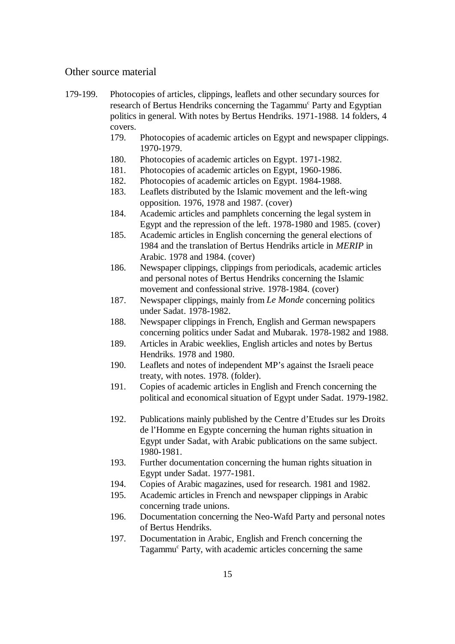#### Other source material

- 179-199. Photocopies of articles, clippings, leaflets and other secundary sources for research of Bertus Hendriks concerning the Tagammu<sup>c</sup> Party and Egyptian politics in general. With notes by Bertus Hendriks. 1971-1988. 14 folders, 4 covers.
	- 179. Photocopies of academic articles on Egypt and newspaper clippings. 1970-1979.
	- 180. Photocopies of academic articles on Egypt. 1971-1982.
	- 181. Photocopies of academic articles on Egypt, 1960-1986.
	- 182. Photocopies of academic articles on Egypt. 1984-1988.
	- 183. Leaflets distributed by the Islamic movement and the left-wing opposition. 1976, 1978 and 1987. (cover)
	- 184. Academic articles and pamphlets concerning the legal system in Egypt and the repression of the left. 1978-1980 and 1985. (cover)
	- 185. Academic articles in English concerning the general elections of 1984 and the translation of Bertus Hendriks article in *MERIP* in Arabic. 1978 and 1984. (cover)
	- 186. Newspaper clippings, clippings from periodicals, academic articles and personal notes of Bertus Hendriks concerning the Islamic movement and confessional strive. 1978-1984. (cover)
	- 187. Newspaper clippings, mainly from *Le Monde* concerning politics under Sadat. 1978-1982.
	- 188. Newspaper clippings in French, English and German newspapers concerning politics under Sadat and Mubarak. 1978-1982 and 1988.
	- 189. Articles in Arabic weeklies, English articles and notes by Bertus Hendriks. 1978 and 1980.
	- 190. Leaflets and notes of independent MP's against the Israeli peace treaty, with notes. 1978. (folder).
	- 191. Copies of academic articles in English and French concerning the political and economical situation of Egypt under Sadat. 1979-1982.
	- 192. Publications mainly published by the Centre d'Etudes sur les Droits de l'Homme en Egypte concerning the human rights situation in Egypt under Sadat, with Arabic publications on the same subject. 1980-1981.
	- 193. Further documentation concerning the human rights situation in Egypt under Sadat. 1977-1981.
	- 194. Copies of Arabic magazines, used for research. 1981 and 1982.
	- 195. Academic articles in French and newspaper clippings in Arabic concerning trade unions.
	- 196. Documentation concerning the Neo-Wafd Party and personal notes of Bertus Hendriks.
	- 197. Documentation in Arabic, English and French concerning the Tagammu<sup>c</sup> Party, with academic articles concerning the same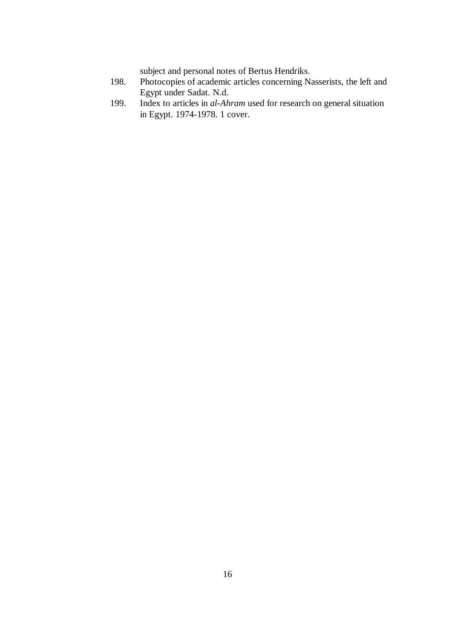subject and personal notes of Bertus Hendriks.

- 198. Photocopies of academic articles concerning Nasserists, the left and Egypt under Sadat. N.d.
- 199. Index to articles in *al-Ahram* used for research on general situation in Egypt. 1974-1978. 1 cover.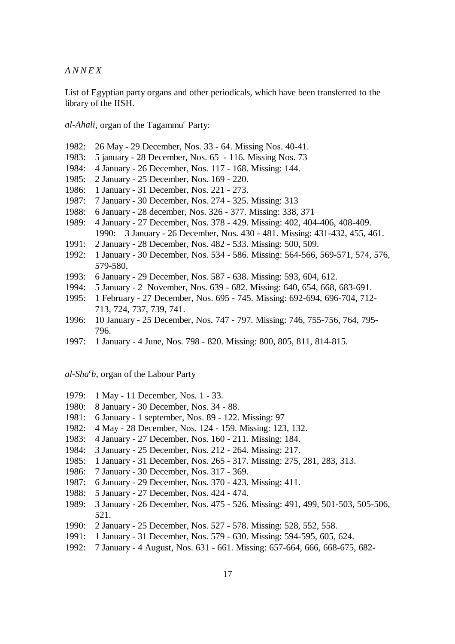*ANNEX*

List of Egyptian party organs and other periodicals, which have been transferred to the library of the IISH.

*al-Ahali*, organ of the Tagammu<sup>c</sup> Party:

- 1982: 26 May 29 December, Nos. 33 64. Missing Nos. 40-41.
- 1983: 5 january 28 December, Nos. 65 116. Missing Nos. 73
- 1984: 4 January 26 December, Nos. 117 168. Missing: 144.
- 1985: 2 January 25 December, Nos. 169 220.
- 1986: 1 January 31 December, Nos. 221 273.
- 1987: 7 January 30 December, Nos. 274 325. Missing: 313
- 1988: 6 January 28 december, Nos. 326 377. Missing: 338, 371
- 1989: 4 January 27 December, Nos. 378 429. Missing: 402, 404-406, 408-409. 1990: 3 January - 26 December, Nos. 430 - 481. Missing: 431-432, 455, 461.
- 1991: 2 January 28 December, Nos. 482 533. Missing: 500, 509.
- 1992: 1 January 30 December, Nos. 534 586. Missing: 564-566, 569-571, 574, 576, 579-580.
- 1993: 6 January 29 December, Nos. 587 638. Missing: 593, 604, 612.
- 1994: 5 January 2 November, Nos. 639 682. Missing: 640, 654, 668, 683-691.
- 1995: 1 February 27 December, Nos. 695 745. Missing: 692-694, 696-704, 712- 713, 724, 737, 739, 741.
- 1996: 10 January 25 December, Nos. 747 797. Missing: 746, 755-756, 764, 795- 796.
- 1997: 1 January 4 June, Nos. 798 820. Missing: 800, 805, 811, 814-815.

*al-Sha b*, organ of the Labour Party *<sup>c</sup>*

- 1979: 1 May 11 December, Nos. 1 33.
- 1980: 8 January 30 December, Nos. 34 88.
- 1981: 6 January 1 september, Nos. 89 122. Missing: 97
- 1982: 4 May 28 December, Nos. 124 159. Missing: 123, 132.
- 1983: 4 January 27 December, Nos. 160 211. Missing: 184.
- 1984: 3 January 25 December, Nos. 212 264. Missing: 217.
- 1985: 1 January 31 December, Nos. 265 317. Missing: 275, 281, 283, 313.
- 1986: 7 January 30 December, Nos. 317 369.
- 1987: 6 January 29 December, Nos. 370 423. Missing: 411.
- 1988: 5 January 27 December, Nos. 424 474.
- 1989: 3 January 26 December, Nos. 475 526. Missing: 491, 499, 501-503, 505-506, 521.
- 1990: 2 January 25 December, Nos. 527 578. Missing: 528, 552, 558.
- 1991: 1 January 31 December, Nos. 579 630. Missing: 594-595, 605, 624.
- 1992: 7 January 4 August, Nos. 631 661. Missing: 657-664, 666, 668-675, 682-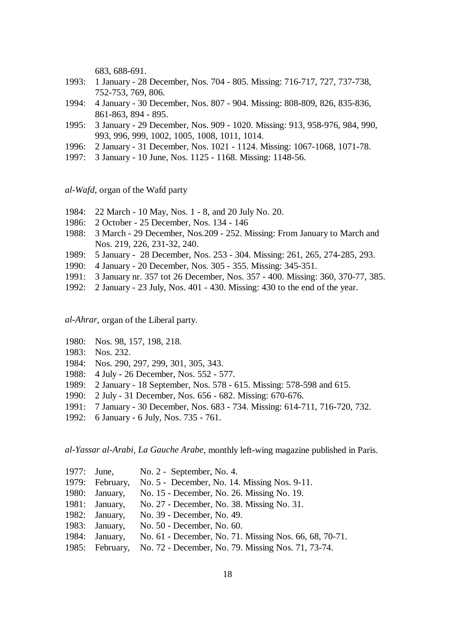683, 688-691.

- 1993: 1 January 28 December, Nos. 704 805. Missing: 716-717, 727, 737-738, 752-753, 769, 806.
- 1994: 4 January 30 December, Nos. 807 904. Missing: 808-809, 826, 835-836, 861-863, 894 - 895.
- 1995: 3 January 29 December, Nos. 909 1020. Missing: 913, 958-976, 984, 990, 993, 996, 999, 1002, 1005, 1008, 1011, 1014.
- 1996: 2 January 31 December, Nos. 1021 1124. Missing: 1067-1068, 1071-78.
- 1997: 3 January 10 June, Nos. 1125 1168. Missing: 1148-56.

*al-Wafd*, organ of the Wafd party

- 1984: 22 March 10 May, Nos. 1 8, and 20 July No. 20.
- 1986: 2 October 25 December, Nos. 134 146
- 1988: 3 March 29 December, Nos.209 252. Missing: From January to March and Nos. 219, 226, 231-32, 240.
- 1989: 5 January 28 December, Nos. 253 304. Missing: 261, 265, 274-285, 293.
- 1990: 4 January 20 December, Nos. 305 355. Missing: 345-351.
- 1991: 3 January nr. 357 tot 26 December, Nos. 357 400. Missing: 360, 370-77, 385.
- 1992: 2 January 23 July, Nos. 401 430. Missing: 430 to the end of the year.

*al-Ahrar*, organ of the Liberal party.

- 1980: Nos. 98, 157, 198, 218.
- 1983: Nos. 232.
- 1984: Nos. 290, 297, 299, 301, 305, 343.
- 1988: 4 July 26 December, Nos. 552 577.
- 1989: 2 January 18 September, Nos. 578 615. Missing: 578-598 and 615.
- 1990: 2 July 31 December, Nos. 656 682. Missing: 670-676.
- 1991: 7 January 30 December, Nos. 683 734. Missing: 614-711, 716-720, 732.
- 1992: 6 January 6 July, Nos. 735 761.

*al-Yassar al-Arabi*, *La Gauche Arabe*, monthly left-wing magazine published in Paris.

| 1977: | June,           | No. 2 - September, No. 4.                              |
|-------|-----------------|--------------------------------------------------------|
|       | 1979: February, | No. 5 - December, No. 14. Missing Nos. 9-11.           |
| 1980: | January,        | No. 15 - December, No. 26. Missing No. 19.             |
| 1981: | January,        | No. 27 - December, No. 38. Missing No. 31.             |
|       | 1982: January,  | No. 39 - December, No. 49.                             |
| 1983: | January,        | No. 50 - December, No. 60.                             |
| 1984: | January,        | No. 61 - December, No. 71. Missing Nos. 66, 68, 70-71. |
|       | 1985: February, | No. 72 - December, No. 79. Missing Nos. 71, 73-74.     |
|       |                 |                                                        |